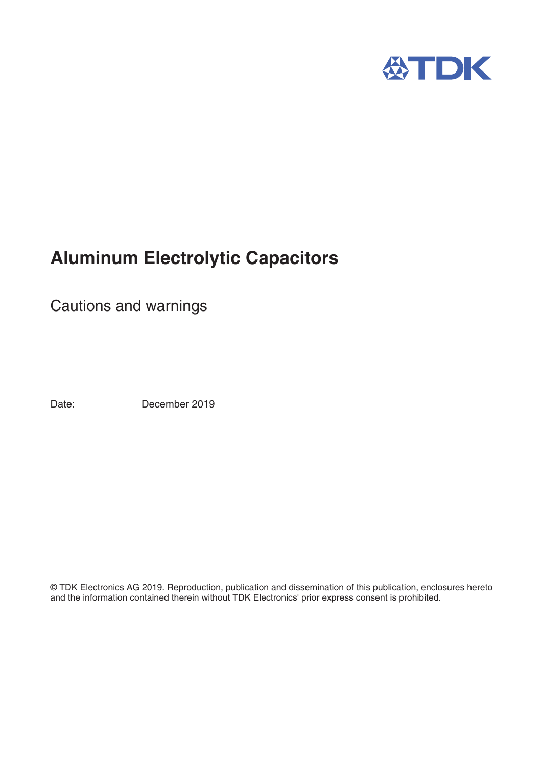

# **Aluminum Electrolytic Capacitors**

Cautions and warnings

Date: December 2019

© TDK Electronics AG 2019. Reproduction, publication and dissemination of this publication, enclosures hereto and the information contained therein without TDK Electronics' prior express consent is prohibited.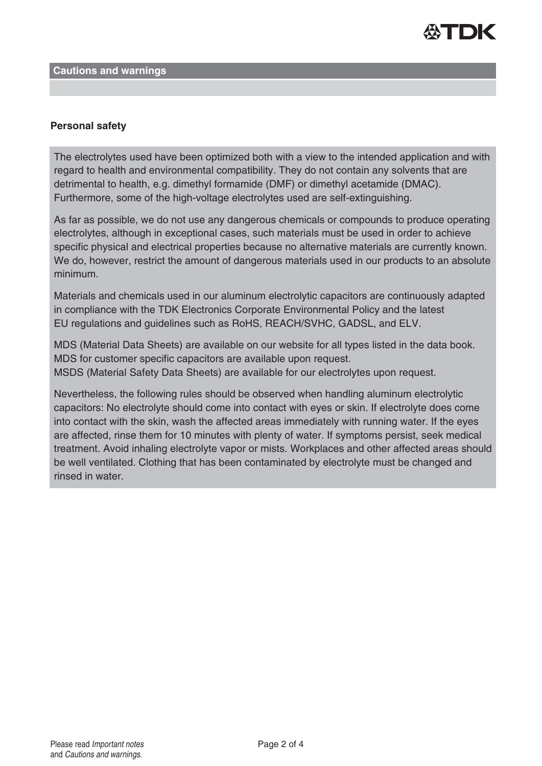

#### **Cautions and warnings**

## **Personal safety**

The electrolytes used have been optimized both with a view to the intended application and with regard to health and environmental compatibility. They do not contain any solvents that are detrimental to health, e.g. dimethyl formamide (DMF) or dimethyl acetamide (DMAC). Furthermore, some of the high-voltage electrolytes used are self-extinguishing.

As far as possible, we do not use any dangerous chemicals or compounds to produce operating electrolytes, although in exceptional cases, such materials must be used in order to achieve specific physical and electrical properties because no alternative materials are currently known. We do, however, restrict the amount of dangerous materials used in our products to an absolute minimum.

Materials and chemicals used in our aluminum electrolytic capacitors are continuously adapted in compliance with the TDK Electronics Corporate Environmental Policy and the latest EU regulations and guidelines such as RoHS, REACH/SVHC, GADSL, and ELV.

MDS (Material Data Sheets) are available on our website for all types listed in the data book. MDS for customer specific capacitors are available upon request. MSDS (Material Safety Data Sheets) are available for our electrolytes upon request.

Nevertheless, the following rules should be observed when handling aluminum electrolytic capacitors: No electrolyte should come into contact with eyes or skin. If electrolyte does come into contact with the skin, wash the affected areas immediately with running water. If the eyes are affected, rinse them for 10 minutes with plenty of water. If symptoms persist, seek medical treatment. Avoid inhaling electrolyte vapor or mists. Workplaces and other affected areas should be well ventilated. Clothing that has been contaminated by electrolyte must be changed and rinsed in water.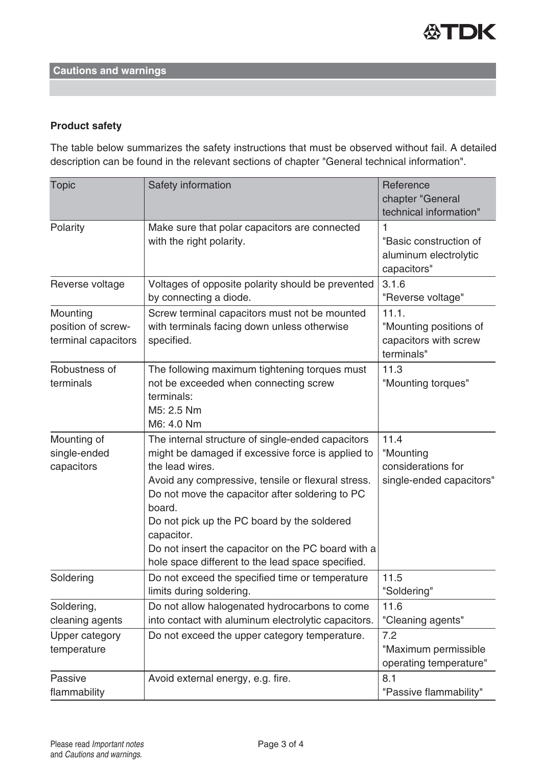

## **Cautions and warnings**

## **Product safety**

The table below summarizes the safety instructions that must be observed without fail. A detailed description can be found in the relevant sections of chapter "General technical information".

| <b>Topic</b>                                          | Safety information                                                                                                                                                                                                                                                                                                                                                                                                   | Reference<br>chapter "General<br>technical information"                |
|-------------------------------------------------------|----------------------------------------------------------------------------------------------------------------------------------------------------------------------------------------------------------------------------------------------------------------------------------------------------------------------------------------------------------------------------------------------------------------------|------------------------------------------------------------------------|
| Polarity                                              | Make sure that polar capacitors are connected<br>with the right polarity.                                                                                                                                                                                                                                                                                                                                            | "Basic construction of<br>aluminum electrolytic<br>capacitors"         |
| Reverse voltage                                       | Voltages of opposite polarity should be prevented<br>by connecting a diode.                                                                                                                                                                                                                                                                                                                                          | 3.1.6<br>"Reverse voltage"                                             |
| Mounting<br>position of screw-<br>terminal capacitors | Screw terminal capacitors must not be mounted<br>with terminals facing down unless otherwise<br>specified.                                                                                                                                                                                                                                                                                                           | 11.1.<br>"Mounting positions of<br>capacitors with screw<br>terminals" |
| Robustness of<br>terminals                            | The following maximum tightening torques must<br>not be exceeded when connecting screw<br>terminals:<br>M5: 2.5 Nm<br>M6: 4.0 Nm                                                                                                                                                                                                                                                                                     | 11.3<br>"Mounting torques"                                             |
| Mounting of<br>single-ended<br>capacitors             | The internal structure of single-ended capacitors<br>might be damaged if excessive force is applied to<br>the lead wires.<br>Avoid any compressive, tensile or flexural stress.<br>Do not move the capacitor after soldering to PC<br>board.<br>Do not pick up the PC board by the soldered<br>capacitor.<br>Do not insert the capacitor on the PC board with a<br>hole space different to the lead space specified. | 11.4<br>"Mounting<br>considerations for<br>single-ended capacitors"    |
| Soldering                                             | Do not exceed the specified time or temperature<br>limits during soldering.                                                                                                                                                                                                                                                                                                                                          | 11.5<br>"Soldering"                                                    |
| Soldering,<br>cleaning agents                         | Do not allow halogenated hydrocarbons to come<br>into contact with aluminum electrolytic capacitors.                                                                                                                                                                                                                                                                                                                 | 11.6<br>"Cleaning agents"                                              |
| <b>Upper category</b><br>temperature                  | Do not exceed the upper category temperature.                                                                                                                                                                                                                                                                                                                                                                        | 7.2<br>"Maximum permissible<br>operating temperature"                  |
| Passive<br>flammability                               | Avoid external energy, e.g. fire.                                                                                                                                                                                                                                                                                                                                                                                    | 8.1<br>"Passive flammability"                                          |